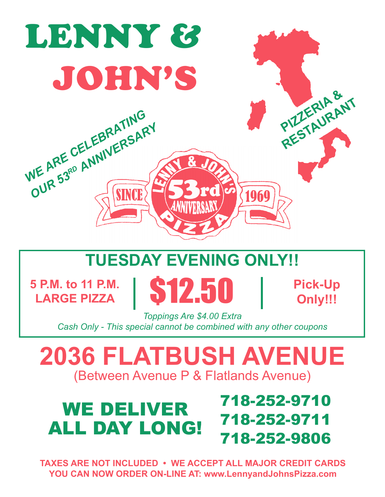

# **TUESDAY EVENING ONLY!!**

**5 P.M. to 11 P.M.** 

**LARGE PIZZA** \$12.50 **Pick-Up**

**Only!!!**

*Toppings Are \$4.00 Extra Cash Only - This special cannot be combined with any other coupons* 

**2036 FLATBUSH AVENUE**  (Between Avenue P & Flatlands Avenue)

## 718-252-9710 718-252-9711 718-252-9806 WE DELIVER ALL DAY LONG!

**TAXES ARE NOT INCLUDED • WE ACCEPT ALL MAJOR CREDIT CARDS YOU CAN NOW ORDER ON-LINE AT: www.LennyandJohnsPizza.com**